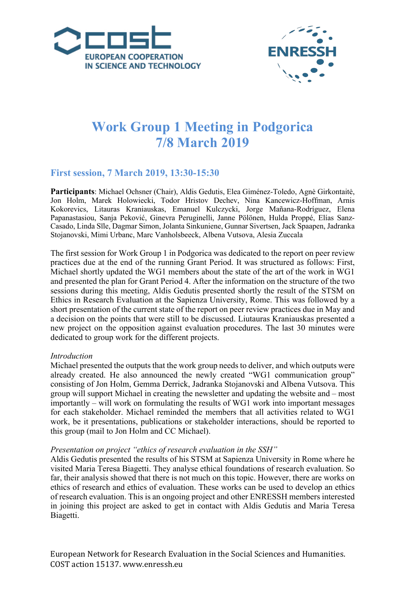



# **Work Group 1 Meeting in Podgorica 7/8 March 2019**

# **First session, 7 March 2019, 13:30-15:30**

**Participants**: Michael Ochsner (Chair), Aldis Gedutis, Elea Giménez-Toledo, Agnė Girkontaitė, Jon Holm, Marek Holowiecki, Todor Hristov Dechev, Nina Kancewicz-Hoffman, Arnis Kokorevics, Litauras Kraniauskas, Emanuel Kulczycki, Jorge Mañana-Rodríguez, Elena Papanastasiou, Sanja Peković, Ginevra Peruginelli, Janne Pölönen, Hulda Proppé, Elías Sanz-Casado, Linda Sīle, Dagmar Simon, Jolanta Sinkuniene, Gunnar Sivertsen, Jack Spaapen, Jadranka Stojanovski, Mimi Urbanc, Marc Vanholsbeeck, Albena Vutsova, Alesia Zuccala

The first session for Work Group 1 in Podgorica was dedicated to the report on peer review practices due at the end of the running Grant Period. It was structured as follows: First, Michael shortly updated the WG1 members about the state of the art of the work in WG1 and presented the plan for Grant Period 4. After the information on the structure of the two sessions during this meeting, Aldis Gedutis presented shortly the result of the STSM on Ethics in Research Evaluation at the Sapienza University, Rome. This was followed by a short presentation of the current state of the report on peer review practices due in May and a decision on the points that were still to be discussed. Liutauras Kraniauskas presented a new project on the opposition against evaluation procedures. The last 30 minutes were dedicated to group work for the different projects.

#### *Introduction*

Michael presented the outputs that the work group needs to deliver, and which outputs were already created. He also announced the newly created "WG1 communication group" consisting of Jon Holm, Gemma Derrick, Jadranka Stojanovski and Albena Vutsova. This group will support Michael in creating the newsletter and updating the website and – most importantly – will work on formulating the results of WG1 work into important messages for each stakeholder. Michael reminded the members that all activities related to WG1 work, be it presentations, publications or stakeholder interactions, should be reported to this group (mail to Jon Holm and CC Michael).

#### *Presentation on project "ethics of research evaluation in the SSH"*

Aldis Gedutis presented the results of his STSM at Sapienza University in Rome where he visited Maria Teresa Biagetti. They analyse ethical foundations of research evaluation. So far, their analysis showed that there is not much on this topic. However, there are works on ethics of research and ethics of evaluation. These works can be used to develop an ethics of research evaluation. This is an ongoing project and other ENRESSH members interested in joining this project are asked to get in contact with Aldis Gedutis and Maria Teresa Biagetti.

European Network for Research Evaluation in the Social Sciences and Humanities. COST action 15137. www.enressh.eu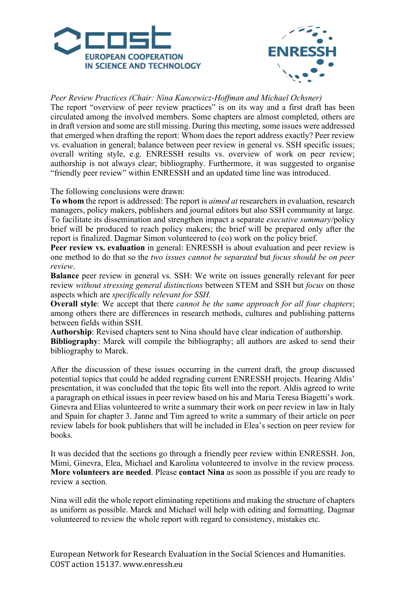



## *Peer Review Practices (Chair: Nina Kancewicz-Hoffman and Michael Ochsner)*

The report "overview of peer review practices" is on its way and a first draft has been circulated among the involved members. Some chapters are almost completed, others are in draft version and some are still missing. During this meeting, some issues were addressed that emerged when drafting the report: Whom does the report address exactly? Peer review vs. evaluation in general; balance between peer review in general vs. SSH specific issues; overall writing style, e.g. ENRESSH results vs. overview of work on peer review; authorship is not always clear; bibliography. Furthermore, it was suggested to organise "friendly peer review" within ENRESSH and an updated time line was introduced.

The following conclusions were drawn:

**To whom** the report is addressed: The report is *aimed at* researchers in evaluation, research managers, policy makers, publishers and journal editors but also SSH community at large. To facilitate its dissemination and strengthen impact a separate *executive summary*/policy brief will be produced to reach policy makers; the brief will be prepared only after the report is finalized. Dagmar Simon volunteered to (co) work on the policy brief.

**Peer review vs. evaluation** in general: ENRESSH is about evaluation and peer review is one method to do that so the *two issues cannot be separated* but *focus should be on peer review*.

**Balance** peer review in general vs. SSH: We write on issues generally relevant for peer review *without stressing general distinctions* between STEM and SSH but *focus* on those aspects which are *specifically relevant for SSH.*

**Overall style**: We accept that there *cannot be the same approach for all four chapters*; among others there are differences in research methods, cultures and publishing patterns between fields within SSH.

**Authorship**: Revised chapters sent to Nina should have clear indication of authorship. **Bibliography**: Marek will compile the bibliography; all authors are asked to send their bibliography to Marek.

After the discussion of these issues occurring in the current draft, the group discussed potential topics that could be added regrading current ENRESSH projects. Hearing Aldis' presentation, it was concluded that the topic fits well into the report. Aldis agreed to write a paragraph on ethical issues in peer review based on his and Maria Teresa Biagetti's work. Ginevra and Elías volunteered to write a summary their work on peer review in law in Italy and Spain for chapter 3. Janne and Tim agreed to write a summary of their article on peer review labels for book publishers that will be included in Elea's section on peer review for books.

It was decided that the sections go through a friendly peer review within ENRESSH. Jon, Mimi, Ginevra, Elea, Michael and Karolina volunteered to involve in the review process. **More volunteers are needed**. Please **contact Nina** as soon as possible if you are ready to review a section.

Nina will edit the whole report eliminating repetitions and making the structure of chapters as uniform as possible. Marek and Michael will help with editing and formatting. Dagmar volunteered to review the whole report with regard to consistency, mistakes etc.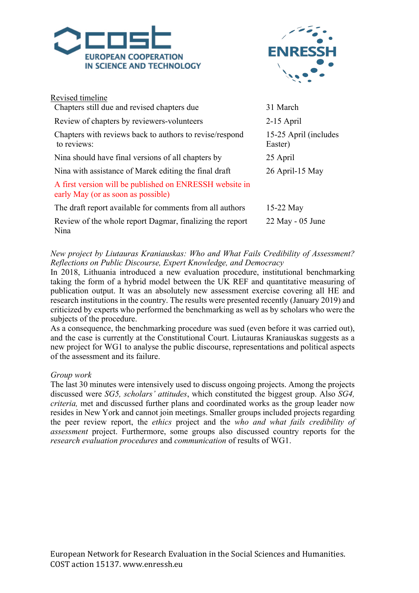



| Revised timeline                                                                              |                                  |
|-----------------------------------------------------------------------------------------------|----------------------------------|
| Chapters still due and revised chapters due                                                   | 31 March                         |
| Review of chapters by reviewers-volunteers                                                    | $2-15$ April                     |
| Chapters with reviews back to authors to revise/respond<br>to reviews:                        | 15-25 April (includes<br>Easter) |
| Nina should have final versions of all chapters by                                            | 25 April                         |
| Nina with assistance of Marek editing the final draft                                         | 26 April-15 May                  |
| A first version will be published on ENRESSH website in<br>early May (or as soon as possible) |                                  |
| The draft report available for comments from all authors                                      | $15-22$ May                      |
| Review of the whole report Dagmar, finalizing the report<br>Nina                              | $22$ May - 05 June               |

*New project by Liutauras Kraniauskas: Who and What Fails Credibility of Assessment? Reflections on Public Discourse, Expert Knowledge, and Democracy*

In 2018, Lithuania introduced a new evaluation procedure, institutional benchmarking taking the form of a hybrid model between the UK REF and quantitative measuring of publication output. It was an absolutely new assessment exercise covering all HE and research institutions in the country. The results were presented recently (January 2019) and criticized by experts who performed the benchmarking as well as by scholars who were the subjects of the procedure.

As a consequence, the benchmarking procedure was sued (even before it was carried out), and the case is currently at the Constitutional Court. Liutauras Kraniauskas suggests as a new project for WG1 to analyse the public discourse, representations and political aspects of the assessment and its failure.

#### *Group work*

The last 30 minutes were intensively used to discuss ongoing projects. Among the projects discussed were *SG5, scholars' attitudes*, which constituted the biggest group. Also *SG4, criteria,* met and discussed further plans and coordinated works as the group leader now resides in New York and cannot join meetings. Smaller groups included projects regarding the peer review report, the *ethics* project and the *who and what fails credibility of assessment* project. Furthermore, some groups also discussed country reports for the *research evaluation procedures* and *communication* of results of WG1.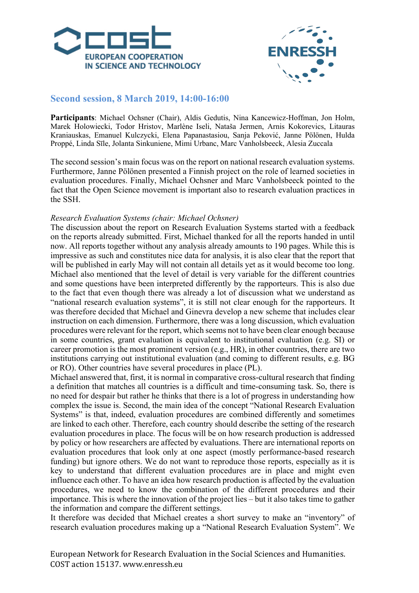



# **Second session, 8 March 2019, 14:00-16:00**

**Participants**: Michael Ochsner (Chair), Aldis Gedutis, Nina Kancewicz-Hoffman, Jon Holm, Marek Holowiecki, Todor Hristov, Marlène Iseli, Nataša Jermen, Arnis Kokorevics, Litauras Kraniauskas, Emanuel Kulczycki, Elena Papanastasiou, Sanja Peković, Janne Pölönen, Hulda Proppé, Linda Sīle, Jolanta Sinkuniene, Mimi Urbanc, Marc Vanholsbeeck, Alesia Zuccala

The second session's main focus was on the report on national research evaluation systems. Furthermore, Janne Pölönen presented a Finnish project on the role of learned societies in evaluation procedures. Finally, Michael Ochsner and Marc Vanholsbeeck pointed to the fact that the Open Science movement is important also to research evaluation practices in the SSH.

## *Research Evaluation Systems (chair: Michael Ochsner)*

The discussion about the report on Research Evaluation Systems started with a feedback on the reports already submitted. First, Michael thanked for all the reports handed in until now. All reports together without any analysis already amounts to 190 pages. While this is impressive as such and constitutes nice data for analysis, it is also clear that the report that will be published in early May will not contain all details yet as it would become too long. Michael also mentioned that the level of detail is very variable for the different countries and some questions have been interpreted differently by the rapporteurs. This is also due to the fact that even though there was already a lot of discussion what we understand as "national research evaluation systems", it is still not clear enough for the rapporteurs. It was therefore decided that Michael and Ginevra develop a new scheme that includes clear instruction on each dimension. Furthermore, there was a long discussion, which evaluation procedures were relevant for the report, which seems not to have been clear enough because in some countries, grant evaluation is equivalent to institutional evaluation (e.g. SI) or career promotion is the most prominent version (e.g., HR), in other countries, there are two institutions carrying out institutional evaluation (and coming to different results, e.g. BG or RO). Other countries have several procedures in place (PL).

Michael answered that, first, it is normal in comparative cross-cultural research that finding a definition that matches all countries is a difficult and time-consuming task. So, there is no need for despair but rather he thinks that there is a lot of progress in understanding how complex the issue is. Second, the main idea of the concept "National Research Evaluation Systems" is that, indeed, evaluation procedures are combined differently and sometimes are linked to each other. Therefore, each country should describe the setting of the research evaluation procedures in place. The focus will be on how research production is addressed by policy or how researchers are affected by evaluations. There are international reports on evaluation procedures that look only at one aspect (mostly performance-based research funding) but ignore others. We do not want to reproduce those reports, especially as it is key to understand that different evaluation procedures are in place and might even influence each other. To have an idea how research production is affected by the evaluation procedures, we need to know the combination of the different procedures and their importance. This is where the innovation of the project lies – but it also takes time to gather the information and compare the different settings.

It therefore was decided that Michael creates a short survey to make an "inventory" of research evaluation procedures making up a "National Research Evaluation System". We

European Network for Research Evaluation in the Social Sciences and Humanities. COST action 15137. www.enressh.eu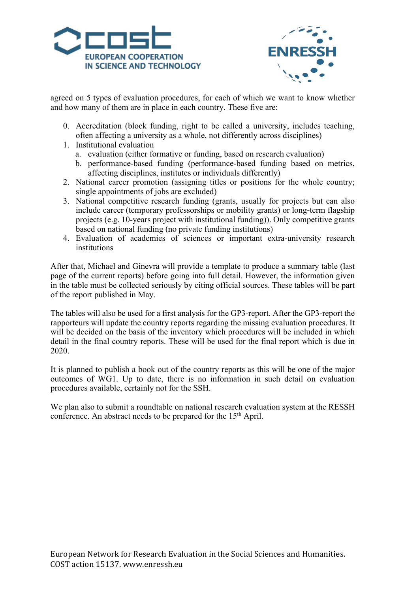



agreed on 5 types of evaluation procedures, for each of which we want to know whether and how many of them are in place in each country. These five are:

- 0. Accreditation (block funding, right to be called a university, includes teaching, often affecting a university as a whole, not differently across disciplines)
- 1. Institutional evaluation
	- a. evaluation (either formative or funding, based on research evaluation)
	- b. performance-based funding (performance-based funding based on metrics, affecting disciplines, institutes or individuals differently)
- 2. National career promotion (assigning titles or positions for the whole country; single appointments of jobs are excluded)
- 3. National competitive research funding (grants, usually for projects but can also include career (temporary professorships or mobility grants) or long-term flagship projects (e.g. 10-years project with institutional funding)). Only competitive grants based on national funding (no private funding institutions)
- 4. Evaluation of academies of sciences or important extra-university research institutions

After that, Michael and Ginevra will provide a template to produce a summary table (last page of the current reports) before going into full detail. However, the information given in the table must be collected seriously by citing official sources. These tables will be part of the report published in May.

The tables will also be used for a first analysis for the GP3-report. After the GP3-report the rapporteurs will update the country reports regarding the missing evaluation procedures. It will be decided on the basis of the inventory which procedures will be included in which detail in the final country reports. These will be used for the final report which is due in 2020.

It is planned to publish a book out of the country reports as this will be one of the major outcomes of WG1. Up to date, there is no information in such detail on evaluation procedures available, certainly not for the SSH.

We plan also to submit a roundtable on national research evaluation system at the RESSH conference. An abstract needs to be prepared for the 15<sup>th</sup> April.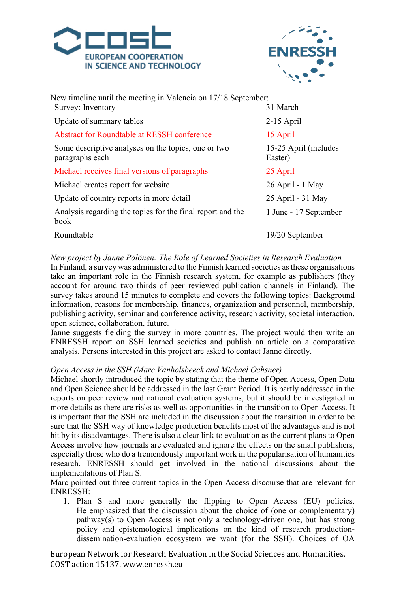



| New timeline until the meeting in Valencia on 17/18 September:         |                                  |  |
|------------------------------------------------------------------------|----------------------------------|--|
| Survey: Inventory                                                      | 31 March                         |  |
| Update of summary tables                                               | $2-15$ April                     |  |
| Abstract for Roundtable at RESSH conference                            | 15 April                         |  |
| Some descriptive analyses on the topics, one or two<br>paragraphs each | 15-25 April (includes<br>Easter) |  |
| Michael receives final versions of paragraphs                          | 25 April                         |  |
| Michael creates report for website                                     | 26 April - 1 May                 |  |
| Update of country reports in more detail                               | 25 April - 31 May                |  |
| Analysis regarding the topics for the final report and the<br>book     | 1 June - 17 September            |  |
| Roundtable                                                             | 19/20 September                  |  |
|                                                                        |                                  |  |

## *New project by Janne Pölönen: The Role of Learned Societies in Research Evaluation*

In Finland, a survey was administered to the Finnish learned societies as these organisations take an important role in the Finnish research system, for example as publishers (they account for around two thirds of peer reviewed publication channels in Finland). The survey takes around 15 minutes to complete and covers the following topics: Background information, reasons for membership, finances, organization and personnel, membership, publishing activity, seminar and conference activity, research activity, societal interaction, open science, collaboration, future.

Janne suggests fielding the survey in more countries. The project would then write an ENRESSH report on SSH learned societies and publish an article on a comparative analysis. Persons interested in this project are asked to contact Janne directly.

#### *Open Access in the SSH (Marc Vanholsbeeck and Michael Ochsner)*

Michael shortly introduced the topic by stating that the theme of Open Access, Open Data and Open Science should be addressed in the last Grant Period. It is partly addressed in the reports on peer review and national evaluation systems, but it should be investigated in more details as there are risks as well as opportunities in the transition to Open Access. It is important that the SSH are included in the discussion about the transition in order to be sure that the SSH way of knowledge production benefits most of the advantages and is not hit by its disadvantages. There is also a clear link to evaluation as the current plans to Open Access involve how journals are evaluated and ignore the effects on the small publishers, especially those who do a tremendously important work in the popularisation of humanities research. ENRESSH should get involved in the national discussions about the implementations of Plan S.

Marc pointed out three current topics in the Open Access discourse that are relevant for ENRESSH:

1. Plan S and more generally the flipping to Open Access (EU) policies. He emphasized that the discussion about the choice of (one or complementary) pathway(s) to Open Access is not only a technology-driven one, but has strong policy and epistemological implications on the kind of research productiondissemination-evaluation ecosystem we want (for the SSH). Choices of OA

European Network for Research Evaluation in the Social Sciences and Humanities. COST action 15137. www.enressh.eu